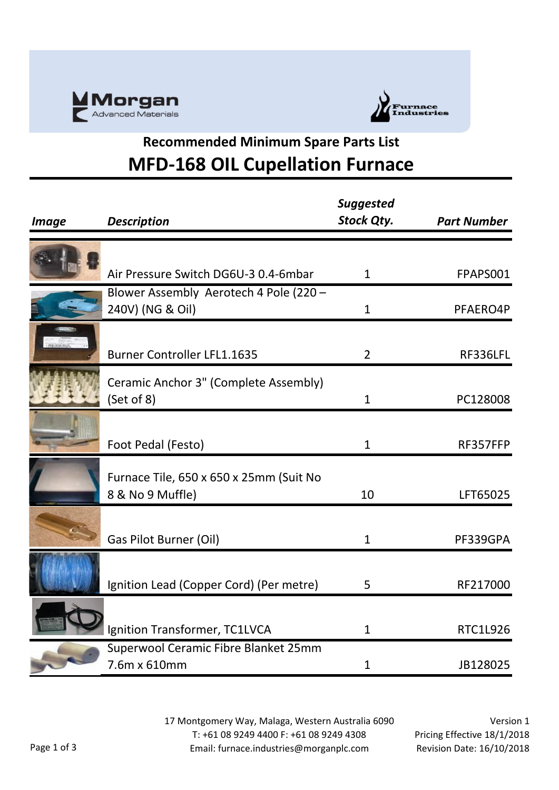



## **Recommended Minimum Spare Parts List MFD-168 OIL Cupellation Furnace**

| <b>Image</b> | <b>Description</b>                                          | <b>Suggested</b><br><b>Stock Qty.</b> | <b>Part Number</b> |
|--------------|-------------------------------------------------------------|---------------------------------------|--------------------|
|              |                                                             |                                       |                    |
|              | Air Pressure Switch DG6U-3 0.4-6mbar                        | $\mathbf{1}$                          | FPAPS001           |
|              | Blower Assembly Aerotech 4 Pole (220 -<br>240V) (NG & Oil)  | $\mathbf{1}$                          | PFAERO4P           |
|              | <b>Burner Controller LFL1.1635</b>                          | $\overline{2}$                        | RF336LFL           |
|              | Ceramic Anchor 3" (Complete Assembly)<br>(Set of 8)         | $\mathbf{1}$                          | PC128008           |
|              | Foot Pedal (Festo)                                          | 1                                     | RF357FFP           |
|              | Furnace Tile, 650 x 650 x 25mm (Suit No<br>8 & No 9 Muffle) | 10                                    | LFT65025           |
|              | Gas Pilot Burner (Oil)                                      | $\mathbf{1}$                          | PF339GPA           |
|              | Ignition Lead (Copper Cord) (Per metre)                     | 5                                     | RF217000           |
|              | Ignition Transformer, TC1LVCA                               | $\mathbf{1}$                          | <b>RTC1L926</b>    |
|              | Superwool Ceramic Fibre Blanket 25mm<br>7.6m x 610mm        | $\mathbf{1}$                          | JB128025           |

17 Montgomery Way, Malaga, Western Australia 6090 T: +61 08 9249 4400 F: +61 08 9249 4308 Email: furnace.industries@morganplc.com

Version 1 Pricing Effective 18/1/2018 Revision Date: 16/10/2018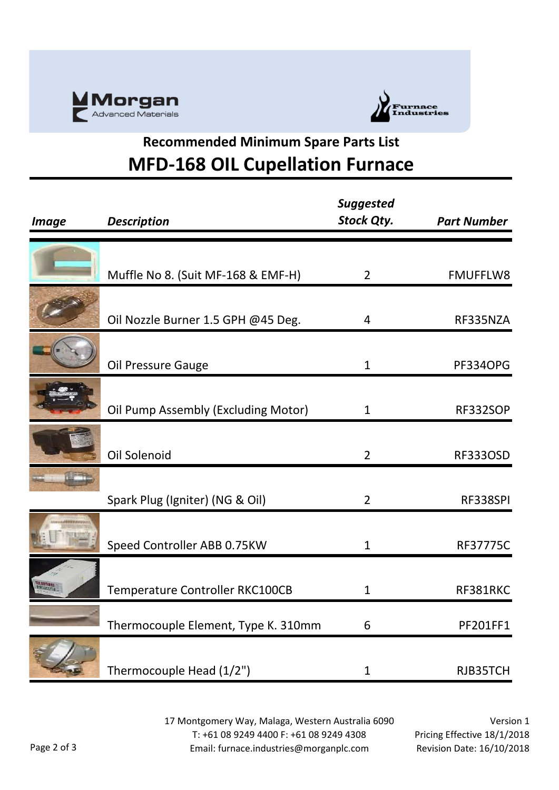



## **Recommended Minimum Spare Parts List MFD-168 OIL Cupellation Furnace**

| <b>Image</b>                            | <b>Description</b>                  | <b>Suggested</b><br><b>Stock Qty.</b> | <b>Part Number</b> |
|-----------------------------------------|-------------------------------------|---------------------------------------|--------------------|
|                                         |                                     |                                       |                    |
|                                         | Muffle No 8. (Suit MF-168 & EMF-H)  | $\overline{2}$                        | <b>FMUFFLW8</b>    |
|                                         | Oil Nozzle Burner 1.5 GPH @45 Deg.  | 4                                     | RF335NZA           |
|                                         | Oil Pressure Gauge                  | $\mathbf{1}$                          | <b>PF334OPG</b>    |
|                                         | Oil Pump Assembly (Excluding Motor) | $\mathbf 1$                           | RF332SOP           |
|                                         | Oil Solenoid                        | $\overline{2}$                        | <b>RF333OSD</b>    |
|                                         | Spark Plug (Igniter) (NG & Oil)     | $\overline{2}$                        | RF338SPI           |
| <b>TERRITORY AND THE REAL PROPERTY.</b> | Speed Controller ABB 0.75KW         | $\mathbf{1}$                          | <b>RF37775C</b>    |
|                                         | Temperature Controller RKC100CB     | $\mathbf{1}$                          | RF381RKC           |
|                                         | Thermocouple Element, Type K. 310mm | 6                                     | PF201FF1           |
|                                         | Thermocouple Head (1/2")            | 1                                     | RJB35TCH           |

17 Montgomery Way, Malaga, Western Australia 6090 T: +61 08 9249 4400 F: +61 08 9249 4308 Email: furnace.industries@morganplc.com

Version 1 Pricing Effective 18/1/2018 Revision Date: 16/10/2018